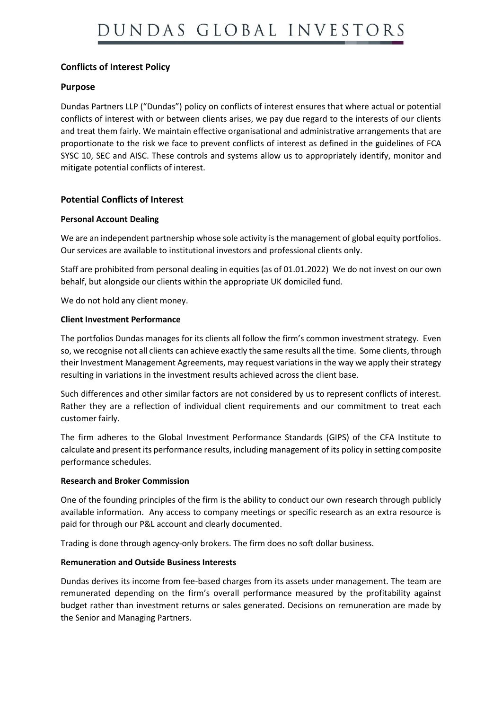# **Conflicts of Interest Policy**

# **Purpose**

Dundas Partners LLP ("Dundas") policy on conflicts of interest ensures that where actual or potential conflicts of interest with or between clients arises, we pay due regard to the interests of our clients and treat them fairly. We maintain effective organisational and administrative arrangements that are proportionate to the risk we face to prevent conflicts of interest as defined in the guidelines of FCA SYSC 10, SEC and AISC. These controls and systems allow us to appropriately identify, monitor and mitigate potential conflicts of interest.

# **Potential Conflicts of Interest**

#### **Personal Account Dealing**

We are an independent partnership whose sole activity is the management of global equity portfolios. Our services are available to institutional investors and professional clients only.

Staff are prohibited from personal dealing in equities (as of 01.01.2022) We do not invest on our own behalf, but alongside our clients within the appropriate UK domiciled fund.

We do not hold any client money.

#### **Client Investment Performance**

The portfolios Dundas manages for its clients all follow the firm's common investment strategy. Even so, we recognise not all clients can achieve exactly the same results all the time. Some clients, through their Investment Management Agreements, may request variations in the way we apply their strategy resulting in variations in the investment results achieved across the client base.

Such differences and other similar factors are not considered by us to represent conflicts of interest. Rather they are a reflection of individual client requirements and our commitment to treat each customer fairly.

The firm adheres to the Global Investment Performance Standards (GIPS) of the CFA Institute to calculate and present its performance results, including management of its policy in setting composite performance schedules.

#### **Research and Broker Commission**

One of the founding principles of the firm is the ability to conduct our own research through publicly available information. Any access to company meetings or specific research as an extra resource is paid for through our P&L account and clearly documented.

Trading is done through agency-only brokers. The firm does no soft dollar business.

### **Remuneration and Outside Business Interests**

Dundas derives its income from fee-based charges from its assets under management. The team are remunerated depending on the firm's overall performance measured by the profitability against budget rather than investment returns or sales generated. Decisions on remuneration are made by the Senior and Managing Partners.